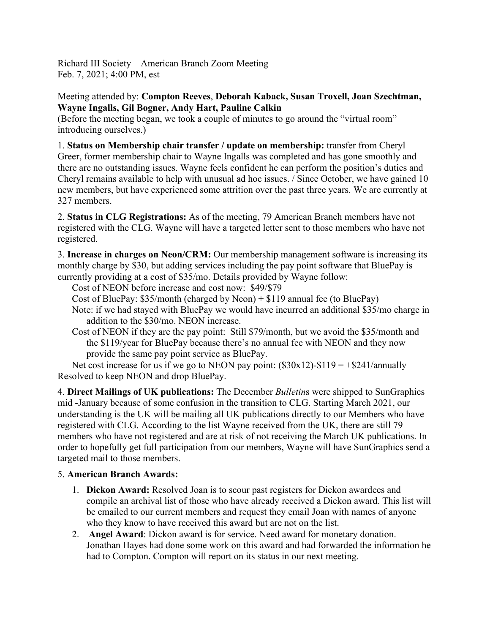Richard III Society – American Branch Zoom Meeting Feb. 7, 2021; 4:00 PM, est

Meeting attended by: **Compton Reeves**, **Deborah Kaback, Susan Troxell, Joan Szechtman, Wayne Ingalls, Gil Bogner, Andy Hart, Pauline Calkin**

(Before the meeting began, we took a couple of minutes to go around the "virtual room" introducing ourselves.)

1. **Status on Membership chair transfer / update on membership:** transfer from Cheryl Greer, former membership chair to Wayne Ingalls was completed and has gone smoothly and there are no outstanding issues. Wayne feels confident he can perform the position's duties and Cheryl remains available to help with unusual ad hoc issues. / Since October, we have gained 10 new members, but have experienced some attrition over the past three years. We are currently at 327 members.

2. **Status in CLG Registrations:** As of the meeting, 79 American Branch members have not registered with the CLG. Wayne will have a targeted letter sent to those members who have not registered.

3. **Increase in charges on Neon/CRM:** Our membership management software is increasing its monthly charge by \$30, but adding services including the pay point software that BluePay is currently providing at a cost of \$35/mo. Details provided by Wayne follow:

Cost of NEON before increase and cost now: \$49/\$79

- Cost of BluePay: \$35/month (charged by Neon) + \$119 annual fee (to BluePay)
- Note: if we had stayed with BluePay we would have incurred an additional \$35/mo charge in addition to the \$30/mo. NEON increase.
- Cost of NEON if they are the pay point: Still \$79/month, but we avoid the \$35/month and the \$119/year for BluePay because there's no annual fee with NEON and they now provide the same pay point service as BluePay.

Net cost increase for us if we go to NEON pay point:  $(\$30x12) - \$119 = +\$241/annually$ Resolved to keep NEON and drop BluePay.

4. **Direct Mailings of UK publications:** The December *Bulletin*s were shipped to SunGraphics mid -January because of some confusion in the transition to CLG. Starting March 2021, our understanding is the UK will be mailing all UK publications directly to our Members who have registered with CLG. According to the list Wayne received from the UK, there are still 79 members who have not registered and are at risk of not receiving the March UK publications. In order to hopefully get full participation from our members, Wayne will have SunGraphics send a targeted mail to those members.

## 5. **American Branch Awards:**

- 1. **Dickon Award:** Resolved Joan is to scour past registers for Dickon awardees and compile an archival list of those who have already received a Dickon award. This list will be emailed to our current members and request they email Joan with names of anyone who they know to have received this award but are not on the list.
- 2. **Angel Award**: Dickon award is for service. Need award for monetary donation. Jonathan Hayes had done some work on this award and had forwarded the information he had to Compton. Compton will report on its status in our next meeting.